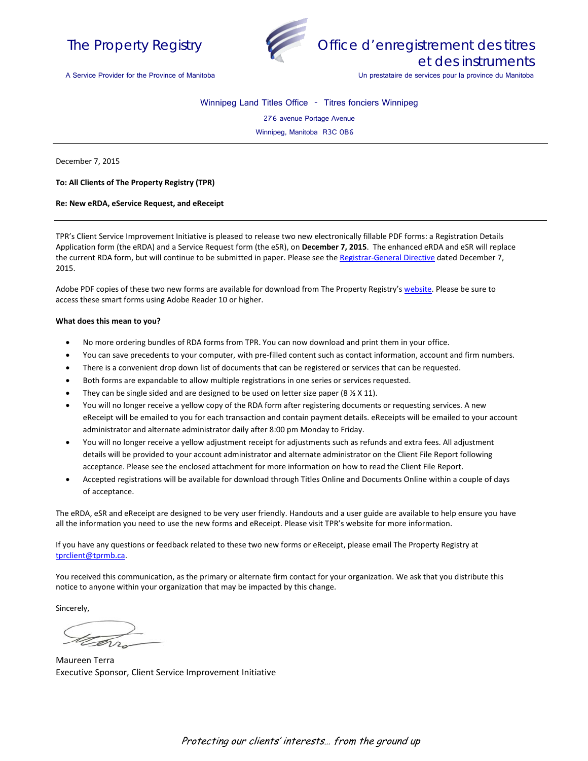



A Service Provider for the Province of Manitoba

Winnipeg Land Titles Office - Titres fonciers Winnipeg

276 avenue Portage Avenue

Winnipeg, Manitoba R3C 0B6

December 7, 2015

**To: All Clients of The Property Registry (TPR)**

**Re: New eRDA, eService Request, and eReceipt**

TPR's Client Service Improvement Initiative is pleased to release two new electronically fillable PDF forms: a Registration Details Application form (the eRDA) and a Service Request form (the eSR), on **December 7, 2015**. The enhanced eRDA and eSR will replace the current RDA form, but will continue to be submitted in paper. Please see th[e Registrar-General Directive](http://www.tprmb.ca/tpr/rg_directives/registration_details_application_eRDAeSR.pdf) dated December 7, 2015.

Adobe PDF copies of these two new forms are available for download from The Property Registry'[s website.](http://www.tprmb.ca/tpr/land_titles/lto_offices/eforms.html) Please be sure to access these smart forms using Adobe Reader 10 or higher.

## **What does this mean to you?**

- No more ordering bundles of RDA forms from TPR. You can now download and print them in your office.
- You can save precedents to your computer, with pre-filled content such as contact information, account and firm numbers.
- There is a convenient drop down list of documents that can be registered or services that can be requested.
- Both forms are expandable to allow multiple registrations in one series or services requested.
- They can be single sided and are designed to be used on letter size paper (8  $\frac{1}{2}$  X 11).
- You will no longer receive a yellow copy of the RDA form after registering documents or requesting services. A new eReceipt will be emailed to you for each transaction and contain payment details. eReceipts will be emailed to your account administrator and alternate administrator daily after 8:00 pm Monday to Friday.
- You will no longer receive a yellow adjustment receipt for adjustments such as refunds and extra fees. All adjustment details will be provided to your account administrator and alternate administrator on the Client File Report following acceptance. Please see the enclosed attachment for more information on how to read the Client File Report.
- Accepted registrations will be available for download through Titles Online and Documents Online within a couple of days of acceptance.

The eRDA, eSR and eReceipt are designed to be very user friendly. Handouts and a user guide are available to help ensure you have all the information you need to use the new forms and eReceipt. Please visit TPR's website for more information.

If you have any questions or feedback related to these two new forms or eReceipt, please email The Property Registry at [tprclient@tprmb.ca.](mailto:tprclient@tprmb.ca) 

You received this communication, as the primary or alternate firm contact for your organization. We ask that you distribute this notice to anyone within your organization that may be impacted by this change.

Sincerely,

Maureen Terra Executive Sponsor, Client Service Improvement Initiative

Protecting our clients' interests… from the ground up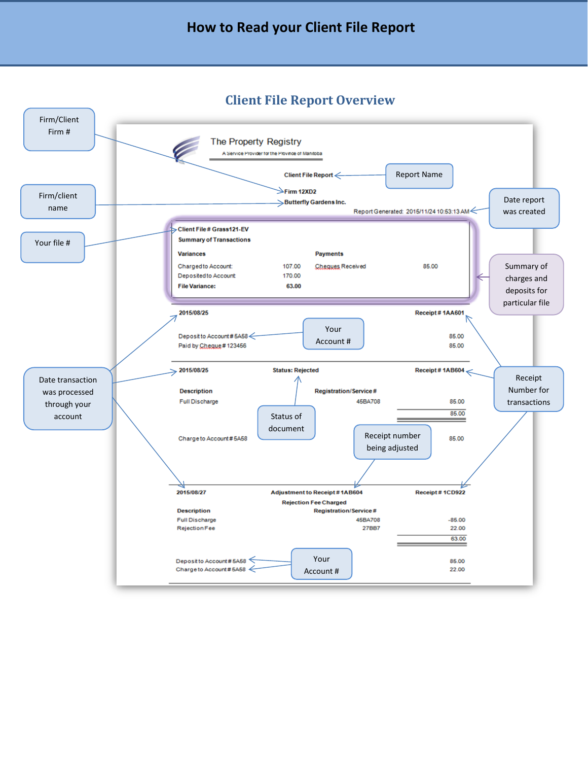## **How to Read your Client File Report**

## **Client File Report Overview**